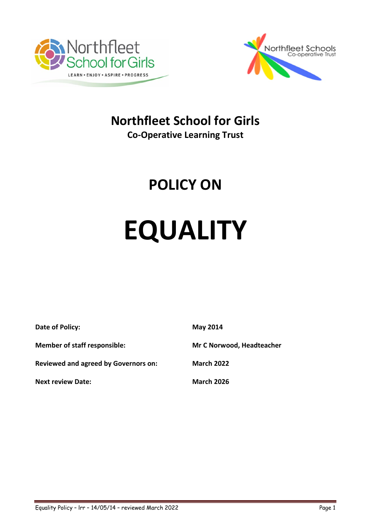



# **Northfleet School for Girls**

**Co-Operative Learning Trust**

# **POLICY ON**

# **EQUALITY**

| Date of Policy:                             | <b>May 2014</b>           |
|---------------------------------------------|---------------------------|
| <b>Member of staff responsible:</b>         | Mr C Norwood, Headteacher |
| <b>Reviewed and agreed by Governors on:</b> | <b>March 2022</b>         |
| <b>Next review Date:</b>                    | <b>March 2026</b>         |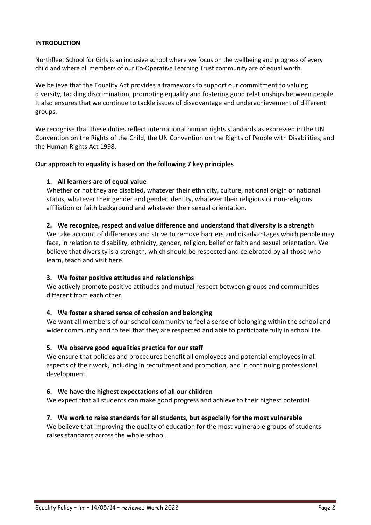#### **INTRODUCTION**

Northfleet School for Girls is an inclusive school where we focus on the wellbeing and progress of every child and where all members of our Co-Operative Learning Trust community are of equal worth.

We believe that the Equality Act provides a framework to support our commitment to valuing diversity, tackling discrimination, promoting equality and fostering good relationships between people. It also ensures that we continue to tackle issues of disadvantage and underachievement of different groups.

We recognise that these duties reflect international human rights standards as expressed in the UN Convention on the Rights of the Child, the UN Convention on the Rights of People with Disabilities, and the Human Rights Act 1998.

#### **Our approach to equality is based on the following 7 key principles**

# **1. All learners are of equal value**

Whether or not they are disabled, whatever their ethnicity, culture, national origin or national status, whatever their gender and gender identity, whatever their religious or non-religious affiliation or faith background and whatever their sexual orientation.

#### **2. We recognize, respect and value difference and understand that diversity is a strength**

We take account of differences and strive to remove barriers and disadvantages which people may face, in relation to disability, ethnicity, gender, religion, belief or faith and sexual orientation. We believe that diversity is a strength, which should be respected and celebrated by all those who learn, teach and visit here.

# **3. We foster positive attitudes and relationships**

We actively promote positive attitudes and mutual respect between groups and communities different from each other.

# **4. We foster a shared sense of cohesion and belonging**

We want all members of our school community to feel a sense of belonging within the school and wider community and to feel that they are respected and able to participate fully in school life.

#### **5. We observe good equalities practice for our staff**

We ensure that policies and procedures benefit all employees and potential employees in all aspects of their work, including in recruitment and promotion, and in continuing professional development

#### **6. We have the highest expectations of all our children**

We expect that all students can make good progress and achieve to their highest potential

# **7. We work to raise standards for all students, but especially for the most vulnerable**

We believe that improving the quality of education for the most vulnerable groups of students raises standards across the whole school.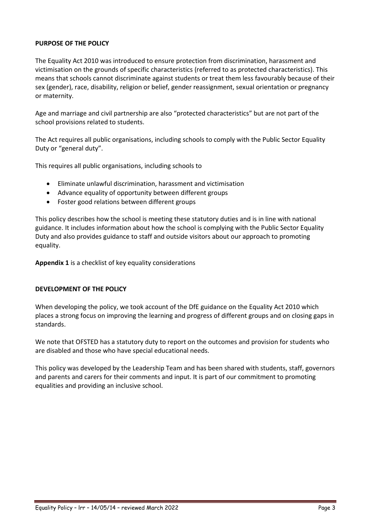# **PURPOSE OF THE POLICY**

The Equality Act 2010 was introduced to ensure protection from discrimination, harassment and victimisation on the grounds of specific characteristics (referred to as protected characteristics). This means that schools cannot discriminate against students or treat them less favourably because of their sex (gender), race, disability, religion or belief, gender reassignment, sexual orientation or pregnancy or maternity.

Age and marriage and civil partnership are also "protected characteristics" but are not part of the school provisions related to students.

The Act requires all public organisations, including schools to comply with the Public Sector Equality Duty or "general duty".

This requires all public organisations, including schools to

- Eliminate unlawful discrimination, harassment and victimisation
- Advance equality of opportunity between different groups
- Foster good relations between different groups

This policy describes how the school is meeting these statutory duties and is in line with national guidance. It includes information about how the school is complying with the Public Sector Equality Duty and also provides guidance to staff and outside visitors about our approach to promoting equality.

**Appendix 1** is a checklist of key equality considerations

# **DEVELOPMENT OF THE POLICY**

When developing the policy, we took account of the DfE guidance on the Equality Act 2010 which places a strong focus on improving the learning and progress of different groups and on closing gaps in standards.

We note that OFSTED has a statutory duty to report on the outcomes and provision for students who are disabled and those who have special educational needs.

This policy was developed by the Leadership Team and has been shared with students, staff, governors and parents and carers for their comments and input. It is part of our commitment to promoting equalities and providing an inclusive school.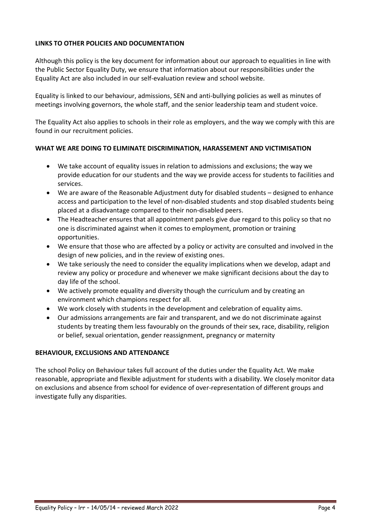# **LINKS TO OTHER POLICIES AND DOCUMENTATION**

Although this policy is the key document for information about our approach to equalities in line with the Public Sector Equality Duty, we ensure that information about our responsibilities under the Equality Act are also included in our self-evaluation review and school website.

Equality is linked to our behaviour, admissions, SEN and anti-bullying policies as well as minutes of meetings involving governors, the whole staff, and the senior leadership team and student voice.

The Equality Act also applies to schools in their role as employers, and the way we comply with this are found in our recruitment policies.

# **WHAT WE ARE DOING TO ELIMINATE DISCRIMINATION, HARASSEMENT AND VICTIMISATION**

- We take account of equality issues in relation to admissions and exclusions; the way we provide education for our students and the way we provide access for students to facilities and services.
- We are aware of the Reasonable Adjustment duty for disabled students designed to enhance access and participation to the level of non-disabled students and stop disabled students being placed at a disadvantage compared to their non-disabled peers.
- The Headteacher ensures that all appointment panels give due regard to this policy so that no one is discriminated against when it comes to employment, promotion or training opportunities.
- We ensure that those who are affected by a policy or activity are consulted and involved in the design of new policies, and in the review of existing ones.
- We take seriously the need to consider the equality implications when we develop, adapt and review any policy or procedure and whenever we make significant decisions about the day to day life of the school.
- We actively promote equality and diversity though the curriculum and by creating an environment which champions respect for all.
- We work closely with students in the development and celebration of equality aims.
- Our admissions arrangements are fair and transparent, and we do not discriminate against students by treating them less favourably on the grounds of their sex, race, disability, religion or belief, sexual orientation, gender reassignment, pregnancy or maternity

#### **BEHAVIOUR, EXCLUSIONS AND ATTENDANCE**

The school Policy on Behaviour takes full account of the duties under the Equality Act. We make reasonable, appropriate and flexible adjustment for students with a disability. We closely monitor data on exclusions and absence from school for evidence of over-representation of different groups and investigate fully any disparities.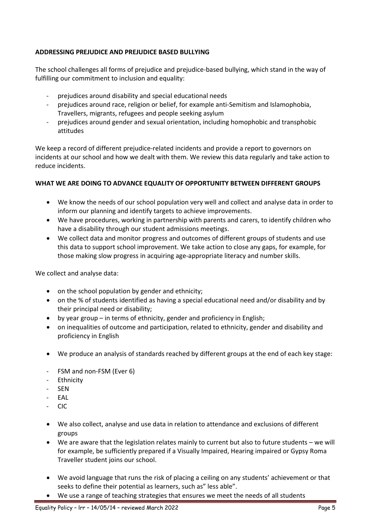# **ADDRESSING PREJUDICE AND PREJUDICE BASED BULLYING**

The school challenges all forms of prejudice and prejudice-based bullying, which stand in the way of fulfilling our commitment to inclusion and equality:

- prejudices around disability and special educational needs
- prejudices around race, religion or belief, for example anti-Semitism and Islamophobia, Travellers, migrants, refugees and people seeking asylum
- prejudices around gender and sexual orientation, including homophobic and transphobic attitudes

We keep a record of different prejudice-related incidents and provide a report to governors on incidents at our school and how we dealt with them. We review this data regularly and take action to reduce incidents.

# **WHAT WE ARE DOING TO ADVANCE EQUALITY OF OPPORTUNITY BETWEEN DIFFERENT GROUPS**

- We know the needs of our school population very well and collect and analyse data in order to inform our planning and identify targets to achieve improvements.
- We have procedures, working in partnership with parents and carers, to identify children who have a disability through our student admissions meetings.
- We collect data and monitor progress and outcomes of different groups of students and use this data to support school improvement. We take action to close any gaps, for example, for those making slow progress in acquiring age-appropriate literacy and number skills.

We collect and analyse data:

- on the school population by gender and ethnicity;
- on the % of students identified as having a special educational need and/or disability and by their principal need or disability;
- by year group in terms of ethnicity, gender and proficiency in English;
- on inequalities of outcome and participation, related to ethnicity, gender and disability and proficiency in English
- We produce an analysis of standards reached by different groups at the end of each key stage:
- FSM and non-FSM (Ever 6)
- Ethnicity
- SEN
- EAL
- CIC
- We also collect, analyse and use data in relation to attendance and exclusions of different groups
- We are aware that the legislation relates mainly to current but also to future students we will for example, be sufficiently prepared if a Visually Impaired, Hearing impaired or Gypsy Roma Traveller student joins our school.
- We avoid language that runs the risk of placing a ceiling on any students' achievement or that seeks to define their potential as learners, such as" less able".
- We use a range of teaching strategies that ensures we meet the needs of all students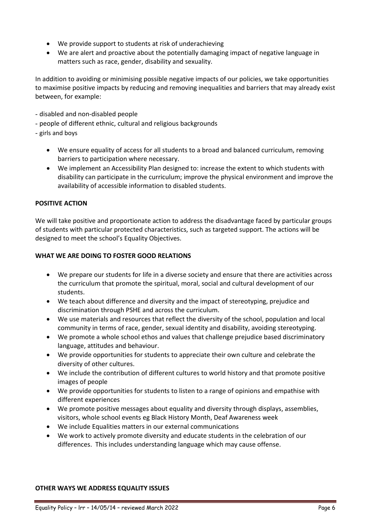- We provide support to students at risk of underachieving
- We are alert and proactive about the potentially damaging impact of negative language in matters such as race, gender, disability and sexuality.

In addition to avoiding or minimising possible negative impacts of our policies, we take opportunities to maximise positive impacts by reducing and removing inequalities and barriers that may already exist between, for example:

- disabled and non-disabled people
- people of different ethnic, cultural and religious backgrounds
- girls and boys
	- We ensure equality of access for all students to a broad and balanced curriculum, removing barriers to participation where necessary.
	- We implement an Accessibility Plan designed to: increase the extent to which students with disability can participate in the curriculum; improve the physical environment and improve the availability of accessible information to disabled students.

# **POSITIVE ACTION**

We will take positive and proportionate action to address the disadvantage faced by particular groups of students with particular protected characteristics, such as targeted support. The actions will be designed to meet the school's Equality Objectives.

# **WHAT WE ARE DOING TO FOSTER GOOD RELATIONS**

- We prepare our students for life in a diverse society and ensure that there are activities across the curriculum that promote the spiritual, moral, social and cultural development of our students.
- We teach about difference and diversity and the impact of stereotyping, prejudice and discrimination through PSHE and across the curriculum.
- We use materials and resources that reflect the diversity of the school, population and local community in terms of race, gender, sexual identity and disability, avoiding stereotyping.
- We promote a whole school ethos and values that challenge prejudice based discriminatory language, attitudes and behaviour.
- We provide opportunities for students to appreciate their own culture and celebrate the diversity of other cultures.
- We include the contribution of different cultures to world history and that promote positive images of people
- We provide opportunities for students to listen to a range of opinions and empathise with different experiences
- We promote positive messages about equality and diversity through displays, assemblies, visitors, whole school events eg Black History Month, Deaf Awareness week
- We include Equalities matters in our external communications
- We work to actively promote diversity and educate students in the celebration of our differences. This includes understanding language which may cause offense.

# **OTHER WAYS WE ADDRESS EQUALITY ISSUES**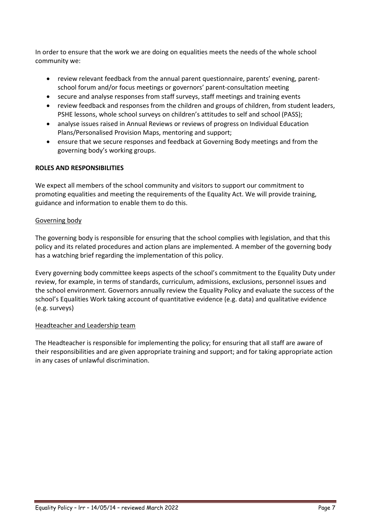In order to ensure that the work we are doing on equalities meets the needs of the whole school community we:

- review relevant feedback from the annual parent questionnaire, parents' evening, parentschool forum and/or focus meetings or governors' parent-consultation meeting
- secure and analyse responses from staff surveys, staff meetings and training events
- review feedback and responses from the children and groups of children, from student leaders, PSHE lessons, whole school surveys on children's attitudes to self and school (PASS);
- analyse issues raised in Annual Reviews or reviews of progress on Individual Education Plans/Personalised Provision Maps, mentoring and support;
- ensure that we secure responses and feedback at Governing Body meetings and from the governing body's working groups.

# **ROLES AND RESPONSIBILITIES**

We expect all members of the school community and visitors to support our commitment to promoting equalities and meeting the requirements of the Equality Act. We will provide training, guidance and information to enable them to do this.

# Governing body

The governing body is responsible for ensuring that the school complies with legislation, and that this policy and its related procedures and action plans are implemented. A member of the governing body has a watching brief regarding the implementation of this policy.

Every governing body committee keeps aspects of the school's commitment to the Equality Duty under review, for example, in terms of standards, curriculum, admissions, exclusions, personnel issues and the school environment. Governors annually review the Equality Policy and evaluate the success of the school's Equalities Work taking account of quantitative evidence (e.g. data) and qualitative evidence (e.g. surveys)

# Headteacher and Leadership team

The Headteacher is responsible for implementing the policy; for ensuring that all staff are aware of their responsibilities and are given appropriate training and support; and for taking appropriate action in any cases of unlawful discrimination.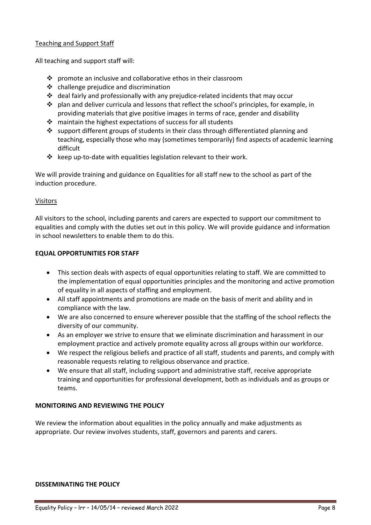# Teaching and Support Staff

All teaching and support staff will:

- promote an inclusive and collaborative ethos in their classroom
- $\triangleleft$  challenge prejudice and discrimination
- $\div$  deal fairly and professionally with any prejudice-related incidents that may occur
- $\cdot \cdot$  plan and deliver curricula and lessons that reflect the school's principles, for example, in providing materials that give positive images in terms of race, gender and disability
- maintain the highest expectations of success for all students
- support different groups of students in their class through differentiated planning and teaching, especially those who may (sometimes temporarily) find aspects of academic learning difficult
- $\cdot \cdot$  keep up-to-date with equalities legislation relevant to their work.

We will provide training and guidance on Equalities for all staff new to the school as part of the induction procedure.

# Visitors

All visitors to the school, including parents and carers are expected to support our commitment to equalities and comply with the duties set out in this policy. We will provide guidance and information in school newsletters to enable them to do this.

# **EQUAL OPPORTUNITIES FOR STAFF**

- This section deals with aspects of equal opportunities relating to staff. We are committed to the implementation of equal opportunities principles and the monitoring and active promotion of equality in all aspects of staffing and employment.
- All staff appointments and promotions are made on the basis of merit and ability and in compliance with the law.
- We are also concerned to ensure wherever possible that the staffing of the school reflects the diversity of our community.
- As an employer we strive to ensure that we eliminate discrimination and harassment in our employment practice and actively promote equality across all groups within our workforce.
- We respect the religious beliefs and practice of all staff, students and parents, and comply with reasonable requests relating to religious observance and practice.
- We ensure that all staff, including support and administrative staff, receive appropriate training and opportunities for professional development, both as individuals and as groups or teams.

# **MONITORING AND REVIEWING THE POLICY**

We review the information about equalities in the policy annually and make adjustments as appropriate. Our review involves students, staff, governors and parents and carers.

# **DISSEMINATING THE POLICY**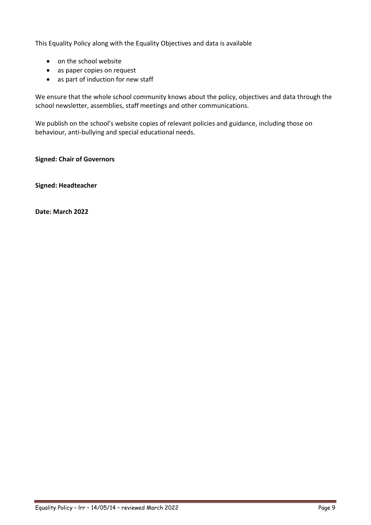This Equality Policy along with the Equality Objectives and data is available

- on the school website
- as paper copies on request
- as part of induction for new staff

We ensure that the whole school community knows about the policy, objectives and data through the school newsletter, assemblies, staff meetings and other communications.

We publish on the school's website copies of relevant policies and guidance, including those on behaviour, anti-bullying and special educational needs.

**Signed: Chair of Governors** 

**Signed: Headteacher** 

**Date: March 2022**